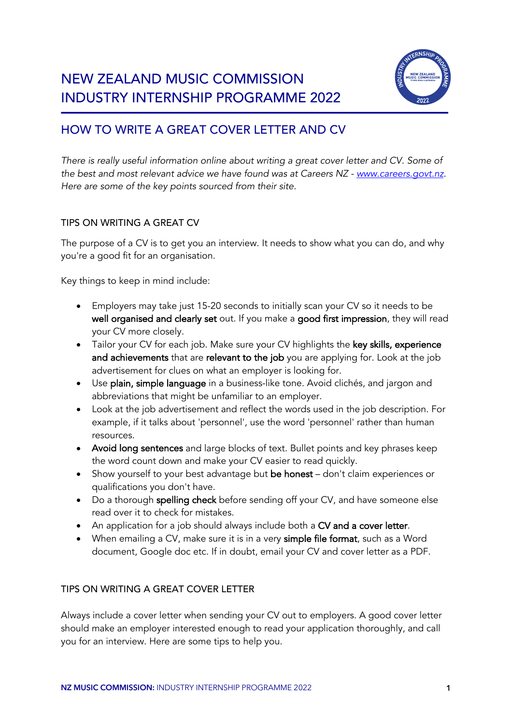

# HOW TO WRITE A GREAT COVER LETTER AND CV

*There is really useful information online about writing a great cover letter and CV. Some of the best and most relevant advice we have found was at Careers NZ - www.careers.govt.nz. Here are some of the key points sourced from their site.*

## TIPS ON WRITING A GREAT CV

The purpose of a CV is to get you an interview. It needs to show what you can do, and why you're a good fit for an organisation.

Key things to keep in mind include:

- Employers may take just 15-20 seconds to initially scan your CV so it needs to be well organised and clearly set out. If you make a good first impression, they will read your CV more closely.
- Tailor your CV for each job. Make sure your CV highlights the key skills, experience and achievements that are relevant to the job you are applying for. Look at the job advertisement for clues on what an employer is looking for.
- Use plain, simple language in a business-like tone. Avoid clichés, and jargon and abbreviations that might be unfamiliar to an employer.
- Look at the job advertisement and reflect the words used in the job description. For example, if it talks about 'personnel', use the word 'personnel' rather than human resources.
- Avoid long sentences and large blocks of text. Bullet points and key phrases keep the word count down and make your CV easier to read quickly.
- Show yourself to your best advantage but be honest don't claim experiences or qualifications you don't have.
- Do a thorough spelling check before sending off your CV, and have someone else read over it to check for mistakes.
- An application for a job should always include both a CV and a cover letter.
- When emailing a CV, make sure it is in a very simple file format, such as a Word document, Google doc etc. If in doubt, email your CV and cover letter as a PDF.

## TIPS ON WRITING A GREAT COVER LETTER

Always include a cover letter when sending your CV out to employers. A good cover letter should make an employer interested enough to read your application thoroughly, and call you for an interview. Here are some tips to help you.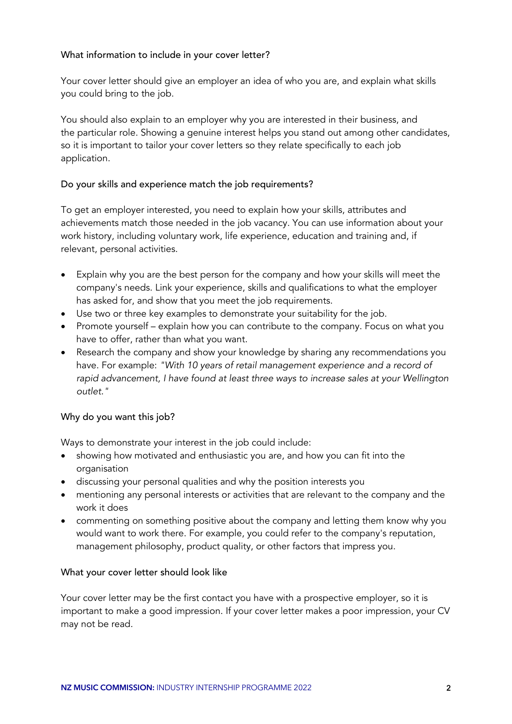### What information to include in your cover letter?

Your cover letter should give an employer an idea of who you are, and explain what skills you could bring to the job.

You should also explain to an employer why you are interested in their business, and the particular role. Showing a genuine interest helps you stand out among other candidates, so it is important to tailor your cover letters so they relate specifically to each job application.

#### Do your skills and experience match the job requirements?

To get an employer interested, you need to explain how your skills, attributes and achievements match those needed in the job vacancy. You can use information about your work history, including voluntary work, life experience, education and training and, if relevant, personal activities.

- Explain why you are the best person for the company and how your skills will meet the company's needs. Link your experience, skills and qualifications to what the employer has asked for, and show that you meet the job requirements.
- Use two or three key examples to demonstrate your suitability for the job.
- Promote yourself explain how you can contribute to the company. Focus on what you have to offer, rather than what you want.
- Research the company and show your knowledge by sharing any recommendations you have. For example: *"With 10 years of retail management experience and a record of rapid advancement, I have found at least three ways to increase sales at your Wellington outlet."*

## Why do you want this job?

Ways to demonstrate your interest in the job could include:

- showing how motivated and enthusiastic you are, and how you can fit into the organisation
- discussing your personal qualities and why the position interests you
- mentioning any personal interests or activities that are relevant to the company and the work it does
- commenting on something positive about the company and letting them know why you would want to work there. For example, you could refer to the company's reputation, management philosophy, product quality, or other factors that impress you.

#### What your cover letter should look like

Your cover letter may be the first contact you have with a prospective employer, so it is important to make a good impression. If your cover letter makes a poor impression, your CV may not be read.